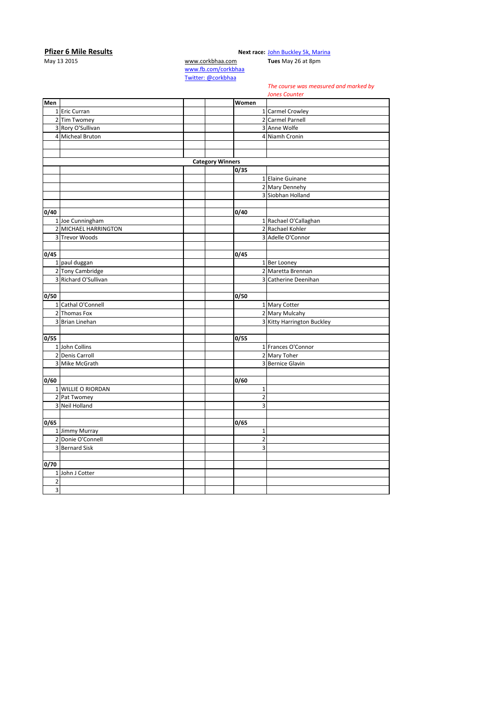## **Pfizer 6 Mile Results Next race:** [John Buckley 5k, Marina](http://corkbhaa.com/races/john-buckley-sports/)

May 13 2015 [www.corkbhaa.com](http://www.corkbhaa.com/) **Tues** May 26 at 8pm

[www.fb.com/corkbhaa](http://www.fb.com/corkbhaa) [Twitter: @corkbhaa](https://twitter.com/corkbhaa)

## *The course was measured and marked by*

**Men Women** 1 Eric Curran 1 Carmel Crowley 2 Tim Twomey 2 Carmel Parnell<br>
3 Rory O'Sullivan 2 Carmel 2 Rory O'Sullivan 3 Rory O'Sullivan 4 Micheal Bruton 4 Niamh Cronin **Category Winners 0/35** 1 Elaine Guinane 2 Mary Dennehy 3 Siobhan Holland **0/40 0/40** 1 Joe Cunningham 1 and 1 Rachael O'Callaghan 2 MICHAEL HARRINGTON 2 Rachael Kohler 3 Trevor Woods 3 3 Adelle O'Connor **0/45 0/45** 1 paul duggan 1 Ber Looney<br>2 Tony Cambridge 2 Maretta Bre 2 Maretta Brennan 3 Richard O'Sullivan **3 Richard O'Sullivan** 3 Richard O'Sullivan **0/50 0/50** 1 Cathal O'Connell 1 Mary Cotter 2 Thomas Fox 2 Mary Mulcahy 3 Brian Linehan 3 Brian Linehan 3 Kitty Harrington Buckley **0/55 0/55** 1 John Collins 2011 1 John Collins 2012 1 Frances O'Connor 2 Denis Carroll 2 Mary Toher<br>2 Mike McGrath 2 Mike McGrath 2 Mary Toher<br>2 Mike McGrath 2 Sernice Gla 3 Bernice Glavin **0/60 0/60** 1 WILLIE O RIORDAN 1 2 Pat Twomey 2<br>
3 Neil Holland 2<br>
2<br>
3 3 Neil Holland 3 **0/65 0/65** 1 Jimmy Murray 1<br>2 Donie O'Connell 2 2 Donie O'Connell 2 3 Bernard Sisk **0/70** 1 John J Cotter  $\overline{2}$ 3 *Jones Counter*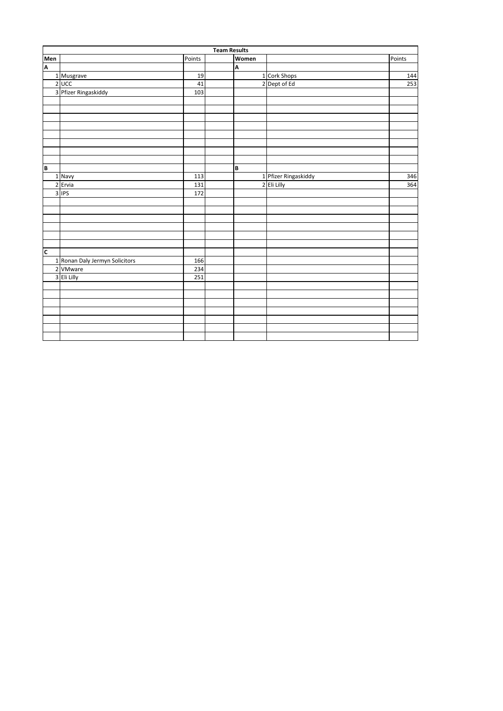|                         | <b>Team Results</b>            |        |  |       |                      |        |  |  |
|-------------------------|--------------------------------|--------|--|-------|----------------------|--------|--|--|
|                         |                                | Points |  | Women |                      | Points |  |  |
| Men<br>A                |                                |        |  | A     |                      |        |  |  |
|                         | 1 Musgrave                     | 19     |  |       | 1 Cork Shops         | 144    |  |  |
|                         | $2$ UCC                        | 41     |  |       | 2 Dept of Ed         | 253    |  |  |
|                         | 3 Pfizer Ringaskiddy           | 103    |  |       |                      |        |  |  |
|                         |                                |        |  |       |                      |        |  |  |
|                         |                                |        |  |       |                      |        |  |  |
|                         |                                |        |  |       |                      |        |  |  |
|                         |                                |        |  |       |                      |        |  |  |
|                         |                                |        |  |       |                      |        |  |  |
|                         |                                |        |  |       |                      |        |  |  |
|                         |                                |        |  |       |                      |        |  |  |
|                         |                                |        |  |       |                      |        |  |  |
| B                       |                                |        |  | B     |                      |        |  |  |
|                         | 1 Navy                         | 113    |  |       | 1 Pfizer Ringaskiddy | 346    |  |  |
|                         | 2 Ervia                        | 131    |  |       | 2 Eli Lilly          | 364    |  |  |
|                         | $3$ IPS                        | 172    |  |       |                      |        |  |  |
|                         |                                |        |  |       |                      |        |  |  |
|                         |                                |        |  |       |                      |        |  |  |
|                         |                                |        |  |       |                      |        |  |  |
|                         |                                |        |  |       |                      |        |  |  |
|                         |                                |        |  |       |                      |        |  |  |
|                         |                                |        |  |       |                      |        |  |  |
| $\overline{\mathsf{c}}$ |                                |        |  |       |                      |        |  |  |
|                         | 1 Ronan Daly Jermyn Solicitors | 166    |  |       |                      |        |  |  |
|                         | 2 VMware                       | 234    |  |       |                      |        |  |  |
|                         | 3 Eli Lilly                    | 251    |  |       |                      |        |  |  |
|                         |                                |        |  |       |                      |        |  |  |
|                         |                                |        |  |       |                      |        |  |  |
|                         |                                |        |  |       |                      |        |  |  |
|                         |                                |        |  |       |                      |        |  |  |
|                         |                                |        |  |       |                      |        |  |  |
|                         |                                |        |  |       |                      |        |  |  |
|                         |                                |        |  |       |                      |        |  |  |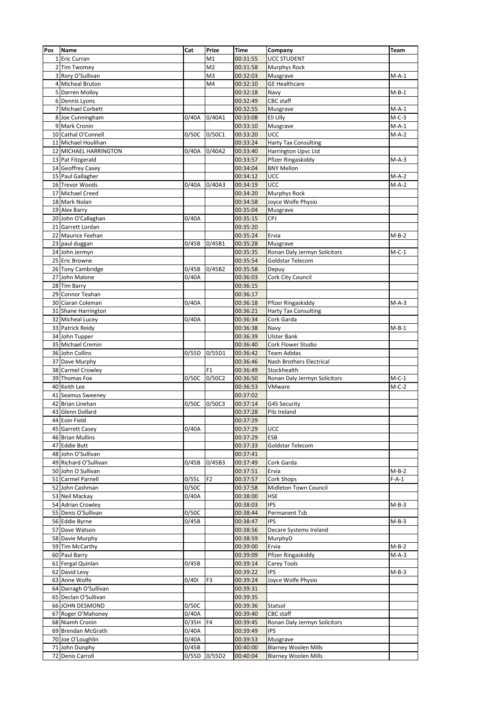| Pos            | Name                               | Cat      | Prize          | <b>Time</b>          | Company                      | Team               |
|----------------|------------------------------------|----------|----------------|----------------------|------------------------------|--------------------|
|                | 1 Eric Curran                      |          | M1             | 00:31:55             | <b>UCC STUDENT</b>           |                    |
|                | 2 Tim Twomey                       |          | M <sub>2</sub> | 00:31:58             | <b>Murphys Rock</b>          |                    |
| 3              | Rory O'Sullivan                    |          | M <sub>3</sub> | 00:32:03             | Musgrave                     | $M-A-1$            |
|                | 4 Micheal Bruton                   |          | M4             | 00:32:10             | <b>GE Healthcare</b>         |                    |
|                | 5 Darren Molloy                    |          |                | 00:32:18             | Navy                         | $M-B-1$            |
|                | 6 Dennis Lyons                     |          |                | 00:32:49             | CBC staff                    |                    |
| $\overline{7}$ | Michael Corbett                    |          |                | 00:32:55             | Musgrave                     | $M-A-1$            |
|                | 8 Joe Cunningham                   | 0/40A    | 0/40A1         | 00:33:08             | Eli Lilly                    | $M-C-3$            |
| 9              | Mark Cronin                        |          |                | 00:33:10             | Musgrave                     | $M-A-1$            |
|                | 10 Cathal O'Connell                | 0/50C    | 0/50C1         | 00:33:20             | UCC                          | $M-A-2$            |
|                | 11 Michael Houlihan                |          |                | 00:33:24             | <b>Harty Tax Consulting</b>  |                    |
|                | 12 MICHAEL HARRINGTON              | 0/40A    | 0/40A2         | 00:33:40             | Harrington Upvc Ltd          |                    |
|                | 13 Pat Fitzgerald                  |          |                | 00:33:57             | Pfizer Ringaskiddy           | $M-A-3$            |
|                | 14 Geoffrey Casey                  |          |                | 00:34:04             | <b>BNY Mellon</b>            |                    |
|                | 15 Paul Gallagher                  |          |                | 00:34:12             | UCC                          | $M-A-2$            |
|                | 16 Trevor Woods                    | 0/40A    | 0/40A3         | 00:34:19             | UCC                          | $M-A-2$            |
|                | 17 Michael Creed                   |          |                | 00:34:20             | Murphys Rock                 |                    |
|                | 18 Mark Nolan                      |          |                | 00:34:58             | Joyce Wolfe Physio           |                    |
|                | 19 Alex Barry                      |          |                | 00:35:04             | Musgrave                     |                    |
|                | 20 John O'Callaghan                | 0/40A    |                | 00:35:15             | CPJ                          |                    |
|                | 21 Garrett Lordan                  |          |                | 00:35:20             |                              |                    |
| 22             | Maurice Feehan                     |          |                | 00:35:24             | Ervia                        | $M-B-2$            |
|                | 23 paul duggan                     | 0/45B    | 0/45B1         | 00:35:28             | Musgrave                     |                    |
|                | 24 John Jermyn                     |          |                | 00:35:35             | Ronan Daly Jermyn Solicitors | $M-C-1$            |
|                | 25 Eric Browne                     |          |                | 00:35:54             | Goldstar Telecom             |                    |
|                | 26 Tony Cambridge                  | 0/45B    | 0/45B2         | 00:35:58             | Depuy                        |                    |
|                | 27 John Malone                     | 0/40A    |                | 00:36:03             | Cork City Council            |                    |
|                | 28 Tim Barry                       |          |                | 00:36:15             |                              |                    |
|                | 29 Connor Teahan                   |          |                | 00:36:17             |                              |                    |
|                | 30 Ciaran Coleman                  | 0/40A    |                | 00:36:18             | Pfizer Ringaskiddy           | $M-A-3$            |
|                | 31 Shane Harrington                |          |                | 00:36:21             | <b>Harty Tax Consulting</b>  |                    |
|                | 32 Micheal Lucey                   | 0/40A    |                | 00:36:34             | Cork Garda                   |                    |
|                | 33 Patrick Reidy                   |          |                | 00:36:38             | Navy                         | $M-B-1$            |
|                | 34 John Tupper                     |          |                | 00:36:39             | <b>Ulster Bank</b>           |                    |
|                | 35 Michael Cremin                  |          |                | 00:36:40             | Cork Flower Studio           |                    |
|                | 36 John Collins                    | 0/55D    | 0/55D1         | 00:36:42             | <b>Team Adidas</b>           |                    |
|                | 37 Dave Murphy                     |          |                | 00:36:46             | Nash Brothers Electrical     |                    |
|                | 38 Carmel Crowley                  |          | F <sub>1</sub> | 00:36:49             | Stockhealth                  |                    |
|                | 39 Thomas Fox                      | 0/50C    | 0/50C2         | 00:36:50             | Ronan Daly Jermyn Solicitors | $M-C-1$            |
|                | 40 Keith Lee                       |          |                | 00:36:53             | VMware                       | $M-C-2$            |
|                | 41 Seamus Sweeney                  |          |                | 00:37:02             |                              |                    |
|                | 42 Brian Linehan                   | 0/50C    | 0/50C3         | 00:37:14             | G4S Security                 |                    |
|                | 43 Glenn Dollard                   |          |                | 00:37:28             | Pilz Ireland                 |                    |
|                | 44 Eoin Field                      |          |                | 00:37:29             |                              |                    |
|                | 45 Garrett Casey                   | 0/40A    |                | 00:37:29             | UCC                          |                    |
|                | 46 Brian Mullins                   |          |                | 00:37:29             | ESB                          |                    |
|                | 47 Eddie Butt                      |          |                | 00:37:33             | Goldstar Telecom             |                    |
|                | 48 John O'Sullivan                 |          |                | 00:37:41             |                              |                    |
|                | 49 Richard O'Sullivan              | 0/45B    | 0/45B3         | 00:37:49             | Cork Garda                   |                    |
|                | 50 John O Sullivan                 |          |                | 00:37:51             | Ervia                        |                    |
|                | 51 Carmel Parnell                  | 0/55L    | F <sub>2</sub> | 00:37:57             | Cork Shops                   | $M-B-2$<br>$F-A-1$ |
|                | 52 John Cashman                    | 0/50C    |                | 00:37:58             | Midleton Town Council        |                    |
|                | 53 Neil Mackay                     | 0/40A    |                | 00:38:00             | <b>HSE</b>                   |                    |
|                | 54 Adrian Crowley                  |          |                | 00:38:03             | <b>IPS</b>                   | $M-B-3$            |
|                | 55 Denis O'Sullivan                | 0/50C    |                | 00:38:44             | Permanent Tsb                |                    |
|                | 56 Eddie Byrne                     | 0/45B    |                | 00:38:47             | <b>IPS</b>                   | $M-B-3$            |
|                | 57 Dave Watson                     |          |                | 00:38:56             | Decare Systems Ireland       |                    |
|                |                                    |          |                | 00:38:59             | MurphyD                      |                    |
|                | 58 Davie Murphy<br>59 Tim McCarthy |          |                | 00:39:00             | Ervia                        | $M-B-2$            |
|                | 60 Paul Barry                      |          |                | 00:39:09             | Pfizer Ringaskiddy           | $M-A-3$            |
|                |                                    |          |                |                      |                              |                    |
|                | 61 Fergal Quinlan<br>62 David Levy | 0/45B    |                | 00:39:14<br>00:39:22 | Carey Tools<br><b>IPS</b>    | $M-B-3$            |
|                | 63 Anne Wolfe                      | 0/401    |                |                      |                              |                    |
|                |                                    |          | F3             | 00:39:24             | Joyce Wolfe Physio           |                    |
|                | 64 Darragh O'Sullivan              |          |                | 00:39:31             |                              |                    |
|                | 65 Declan O'Sullivan               |          |                | 00:39:35             |                              |                    |
|                | 66 JOHN DESMOND                    | 0/50C    |                | 00:39:36             | Statsol                      |                    |
|                | 67 Roger O'Mahoney                 | 0/40A    |                | 00:39:40             | CBC staff                    |                    |
|                | 68 Niamh Cronin                    | 0/35H F4 |                | 00:39:45             | Ronan Daly Jermyn Solicitors |                    |
|                | 69 Brendan McGrath                 | 0/40A    |                | 00:39:49             | <b>IPS</b>                   |                    |
|                | 70 Joe O'Loughlin                  | 0/40A    |                | 00:39:53             | Musgrave                     |                    |
|                | 71 John Dunphy                     | 0/45B    |                | 00:40:00             | <b>Blarney Woolen Mills</b>  |                    |
|                | 72 Denis Carroll                   | 0/55D    | 0/55D2         | 00:40:04             | <b>Blarney Woolen Mills</b>  |                    |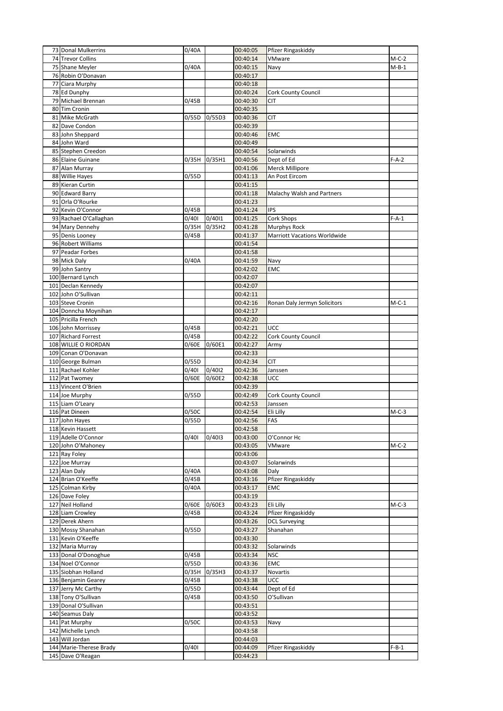| 73 Donal Mulkerrins     | 0/40A |        | 00:40:05 | Pfizer Ringaskiddy                  |         |
|-------------------------|-------|--------|----------|-------------------------------------|---------|
| 74 Trevor Collins       |       |        | 00:40:14 | VMware                              | $M-C-2$ |
|                         |       |        |          |                                     |         |
| 75 Shane Meyler         | 0/40A |        | 00:40:15 | Navy                                | M-B-1   |
| 76 Robin O'Donavan      |       |        | 00:40:17 |                                     |         |
| 77 Ciara Murphy         |       |        | 00:40:18 |                                     |         |
| 78 Ed Dunphy            |       |        | 00:40:24 | <b>Cork County Council</b>          |         |
| 79 Michael Brennan      | 0/45B |        | 00:40:30 | <b>CIT</b>                          |         |
| 80 Tim Cronin           |       |        | 00:40:35 |                                     |         |
| 81 Mike McGrath         | 0/55D | 0/55D3 | 00:40:36 | CIT                                 |         |
| 82 Dave Condon          |       |        | 00:40:39 |                                     |         |
| 83 John Sheppard        |       |        | 00:40:46 | EMC                                 |         |
|                         |       |        |          |                                     |         |
| 84 John Ward            |       |        | 00:40:49 |                                     |         |
| 85 Stephen Creedon      |       |        | 00:40:54 | Solarwinds                          |         |
| 86 Elaine Guinane       | 0/35H | 0/35H1 | 00:40:56 | Dept of Ed                          | F-A-2   |
| 87 Alan Murray          |       |        | 00:41:06 | Merck Millipore                     |         |
| 88 Willie Hayes         | 0/55D |        | 00:41:13 | An Post Eircom                      |         |
| 89 Kieran Curtin        |       |        | 00:41:15 |                                     |         |
| 90 Edward Barry         |       |        | 00:41:18 | Malachy Walsh and Partners          |         |
| 91 Orla O'Rourke        |       |        | 00:41:23 |                                     |         |
| 92 Kevin O'Connor       | 0/45B |        | 00:41:24 | <b>IPS</b>                          |         |
| 93 Rachael O'Callaghan  | 0/401 | 0/4011 | 00:41:25 | Cork Shops                          | $F-A-1$ |
| 94 Mary Dennehy         | 0/35H |        | 00:41:28 |                                     |         |
| 95 Denis Looney         | 0/45B | 0/35H2 |          | Murphys Rock                        |         |
|                         |       |        | 00:41:37 | <b>Marriott Vacations Worldwide</b> |         |
| 96 Robert Williams      |       |        | 00:41:54 |                                     |         |
| 97 Peadar Forbes        |       |        | 00:41:58 |                                     |         |
| 98 Mick Daly            | 0/40A |        | 00:41:59 | Navy                                |         |
| 99 John Santry          |       |        | 00:42:02 | EMC                                 |         |
| 100 Bernard Lynch       |       |        | 00:42:07 |                                     |         |
| 101 Declan Kennedy      |       |        | 00:42:07 |                                     |         |
| 102 John O'Sullivan     |       |        | 00:42:11 |                                     |         |
| 103 Steve Cronin        |       |        | 00:42:16 | Ronan Daly Jermyn Solicitors        | M-C-1   |
| 104 Donncha Moynihan    |       |        | 00:42:17 |                                     |         |
| 105 Pricilla French     |       |        | 00:42:20 |                                     |         |
| 106 John Morrissey      | 0/45B |        | 00:42:21 | <b>UCC</b>                          |         |
| 107 Richard Forrest     | 0/45B |        | 00:42:22 | <b>Cork County Council</b>          |         |
| 108 WILLIE O RIORDAN    | 0/60E | 0/60E1 | 00:42:27 | Army                                |         |
| 109 Conan O'Donavan     |       |        | 00:42:33 |                                     |         |
| 110 George Bulman       | 0/55D |        | 00:42:34 | <b>CIT</b>                          |         |
| 111 Rachael Kohler      | 0/401 | 0/4012 | 00:42:36 | Janssen                             |         |
| 112 Pat Twomey          | 0/60E | 0/60E2 | 00:42:38 | <b>UCC</b>                          |         |
| 113 Vincent O'Brien     |       |        | 00:42:39 |                                     |         |
| 114 Joe Murphy          | 0/55D |        | 00:42:49 | Cork County Council                 |         |
| 115 Liam O'Leary        |       |        | 00:42:53 |                                     |         |
| 116 Pat Dineen          |       |        |          | Janssen                             |         |
|                         | 0/50C |        | 00:42:54 | Eli Lilly                           | $M-C-3$ |
| 117 John Hayes          | 0/55D |        | 00:42:56 | FAS                                 |         |
| 118 Kevin Hassett       |       |        | 00:42:58 |                                     |         |
| 119 Adelle O'Connor     | 0/401 | 0/4013 | 00:43:00 | O'Connor Hc                         |         |
| 120 John O'Mahoney      |       |        | 00:43:05 | VMware                              | $M-C-2$ |
| 121 Ray Foley           |       |        | 00:43:06 |                                     |         |
| 122 Joe Murray          |       |        | 00:43:07 | Solarwinds                          |         |
| 123 Alan Daly           | 0/40A |        | 00:43:08 | Daly                                |         |
| 124 Brian O'Keeffe      | 0/45B |        | 00:43:16 | Pfizer Ringaskiddy                  |         |
| 125 Colman Kirby        | 0/40A |        | 00:43:17 | <b>EMC</b>                          |         |
| 126 Dave Foley          |       |        | 00:43:19 |                                     |         |
| 127 Neil Holland        | 0/60E | 0/60E3 | 00:43:23 | Eli Lilly                           | $M-C-3$ |
| 128 Liam Crowley        | 0/45B |        | 00:43:24 | Pfizer Ringaskiddy                  |         |
| 129 Derek Ahern         |       |        | 00:43:26 | <b>DCL Surveying</b>                |         |
| 130 Mossy Shanahan      | 0/55D |        | 00:43:27 | Shanahan                            |         |
| 131 Kevin O'Keeffe      |       |        | 00:43:30 |                                     |         |
| 132 Maria Murray        |       |        | 00:43:32 | Solarwinds                          |         |
| 133 Donal O'Donoghue    | 0/45B |        | 00:43:34 | <b>NSC</b>                          |         |
| 134 Noel O'Connor       | 0/55D |        | 00:43:36 | <b>EMC</b>                          |         |
| 135 Siobhan Holland     | 0/35H | 0/35H3 | 00:43:37 | Novartis                            |         |
| 136 Benjamin Gearey     | 0/45B |        | 00:43:38 | UCC                                 |         |
|                         | 0/55D |        |          |                                     |         |
| 137 Jerry Mc Carthy     |       |        | 00:43:44 | Dept of Ed                          |         |
| 138 Tony O'Sullivan     | 0/45B |        | 00:43:50 | O'Sullivan                          |         |
| 139 Donal O'Sullivan    |       |        | 00:43:51 |                                     |         |
| 140 Seamus Daly         |       |        | 00:43:52 |                                     |         |
| 141 Pat Murphy          | 0/50C |        | 00:43:53 | Navy                                |         |
| 142 Michelle Lynch      |       |        | 00:43:58 |                                     |         |
| 143 Will Jordan         |       |        | 00:44:03 |                                     |         |
| 144 Marie-Therese Brady | 0/401 |        | 00:44:09 | Pfizer Ringaskiddy                  | $F-B-1$ |
| 145 Dave O'Reagan       |       |        | 00:44:23 |                                     |         |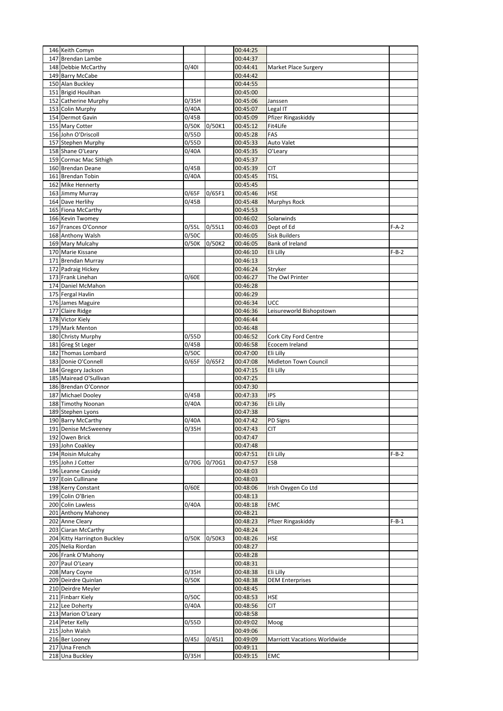| 146 Keith Comyn                         |                |        | 00:44:25             |                                     |         |
|-----------------------------------------|----------------|--------|----------------------|-------------------------------------|---------|
| 147 Brendan Lambe                       |                |        | 00:44:37             |                                     |         |
| 148 Debbie McCarthy                     | 0/401          |        | 00:44:41             | Market Place Surgery                |         |
| 149 Barry McCabe                        |                |        | 00:44:42             |                                     |         |
| 150 Alan Buckley                        |                |        | 00:44:55             |                                     |         |
| 151 Brigid Houlihan                     |                |        | 00:45:00             |                                     |         |
| 152 Catherine Murphy                    | 0/35H<br>0/40A |        | 00:45:06             | Janssen                             |         |
| 153 Colin Murphy<br>154 Dermot Gavin    | 0/45B          |        | 00:45:07<br>00:45:09 | Legal IT<br>Pfizer Ringaskiddy      |         |
| 155 Mary Cotter                         | 0/50K          | 0/50K1 | 00:45:12             | Fit4Life                            |         |
| 156 John O'Driscoll                     | 0/55D          |        | 00:45:28             | FAS                                 |         |
| 157 Stephen Murphy                      | 0/55D          |        | 00:45:33             | Auto Valet                          |         |
| 158 Shane O'Leary                       | 0/40A          |        | 00:45:35             | O'Leary                             |         |
| 159 Cormac Mac Sithigh                  |                |        | 00:45:37             |                                     |         |
| 160 Brendan Deane                       | 0/45B          |        | 00:45:39             | CIT                                 |         |
| 161 Brendan Tobin                       | 0/40A          |        | 00:45:45             | tisl                                |         |
| 162 Mike Hennerty                       |                |        | 00:45:45             |                                     |         |
| 163 Jimmy Murray                        | 0/65F          | 0/65F1 | 00:45:46             | HSE                                 |         |
| 164 Dave Herlihy                        | 0/45B          |        | 00:45:48             | Murphys Rock                        |         |
| 165 Fiona McCarthy                      |                |        | 00:45:53             |                                     |         |
| 166 Kevin Twomey                        |                |        | 00:46:02             | Solarwinds                          |         |
| 167 Frances O'Connor                    | 0/55L          | 0/55L1 | 00:46:03             | Dept of Ed                          | $F-A-2$ |
| 168 Anthony Walsh                       | 0/50C          |        | 00:46:05             | <b>Sisk Builders</b>                |         |
| 169 Mary Mulcahy                        | 0/50K          | 0/50K2 | 00:46:05             | Bank of Ireland                     |         |
| 170 Marie Kissane                       |                |        | 00:46:10             | Eli Lilly                           | $F-B-2$ |
| 171 Brendan Murray                      |                |        | 00:46:13             |                                     |         |
| 172 Padraig Hickey<br>173 Frank Linehan |                |        | 00:46:24<br>00:46:27 | Stryker                             |         |
| 174 Daniel McMahon                      | 0/60E          |        | 00:46:28             | The Owl Printer                     |         |
| 175 Fergal Havlin                       |                |        | 00:46:29             |                                     |         |
| 176 James Maguire                       |                |        | 00:46:34             | UCC                                 |         |
| 177 Claire Ridge                        |                |        | 00:46:36             | Leisureworld Bishopstown            |         |
| 178 Victor Kiely                        |                |        | 00:46:44             |                                     |         |
| 179 Mark Menton                         |                |        | 00:46:48             |                                     |         |
| 180 Christy Murphy                      | 0/55D          |        | 00:46:52             | Cork City Ford Centre               |         |
| 181 Greg St Leger                       | 0/45B          |        | 00:46:58             | Ecocem Ireland                      |         |
| 182 Thomas Lombard                      | 0/50C          |        | 00:47:00             | Eli Lilly                           |         |
| 183 Donie O'Connell                     | 0/65F          | 0/65F2 | 00:47:08             | Midleton Town Council               |         |
| 184 Gregory Jackson                     |                |        | 00:47:15             | Eli Lilly                           |         |
| 185 Mairead O'Sullivan                  |                |        | 00:47:25             |                                     |         |
| 186 Brendan O'Connor                    |                |        | 00:47:30             |                                     |         |
| 187 Michael Dooley                      | 0/45B          |        | 00:47:33             | IPS                                 |         |
|                                         |                |        |                      |                                     |         |
| 188 Timothy Noonan                      | 0/40A          |        | 00:47:36             | Eli Lilly                           |         |
| 189 Stephen Lyons                       |                |        | 00:47:38             |                                     |         |
| 190 Barry McCarthy                      | 0/40A          |        | 00:47:42             | PD Signs                            |         |
| 191 Denise McSweeney                    | 0/35H          |        | 00:47:43             | <b>CIT</b>                          |         |
| 192 Owen Brick                          |                |        | 00:47:47             |                                     |         |
| 193 John Coakley<br>194 Roisin Mulcahy  |                |        | 00:47:48<br>00:47:51 | Eli Lilly                           | $F-B-2$ |
| 195 John J Cotter                       | 0/70G          | 0/70G1 | 00:47:57             | ESB                                 |         |
| 196 Leanne Cassidy                      |                |        | 00:48:03             |                                     |         |
| 197 Eoin Cullinane                      |                |        | 00:48:03             |                                     |         |
| 198 Kerry Constant                      | 0/60E          |        | 00:48:06             | Irish Oxygen Co Ltd                 |         |
| 199 Colin O'Brien                       |                |        | 00:48:13             |                                     |         |
| 200 Colin Lawless                       | 0/40A          |        | 00:48:18             | EMC                                 |         |
| 201 Anthony Mahoney                     |                |        | 00:48:21             |                                     |         |
| 202 Anne Cleary                         |                |        | 00:48:23             | Pfizer Ringaskiddy                  | $F-B-1$ |
| 203 Ciaran McCarthy                     |                |        | 00:48:24             |                                     |         |
| 204 Kitty Harrington Buckley            | 0/50K          | 0/50K3 | 00:48:26             | HSE                                 |         |
| 205 Nelia Riordan                       |                |        | 00:48:27             |                                     |         |
| 206 Frank O'Mahony                      |                |        | 00:48:28             |                                     |         |
| 207 Paul O'Leary                        |                |        | 00:48:31             |                                     |         |
| 208 Mary Coyne                          | 0/35H          |        | 00:48:38             | Eli Lilly                           |         |
| 209 Deirdre Quinlan                     | 0/50K          |        | 00:48:38             | <b>DEM Enterprises</b>              |         |
| 210 Deirdre Meyler<br>211 Finbarr Kiely | 0/50C          |        | 00:48:45<br>00:48:53 | HSE                                 |         |
| 212 Lee Doherty                         | 0/40A          |        | 00:48:56             | CIT                                 |         |
| 213 Marion O'Leary                      |                |        | 00:48:58             |                                     |         |
| 214 Peter Kelly                         | 0/55D          |        | 00:49:02             | Moog                                |         |
| 215 John Walsh                          |                |        | 00:49:06             |                                     |         |
| 216 Ber Looney                          | 0/45J          | 0/45J1 | 00:49:09             | <b>Marriott Vacations Worldwide</b> |         |
| 217 Una French<br>218 Una Buckley       | 0/35H          |        | 00:49:11<br>00:49:15 | EMC                                 |         |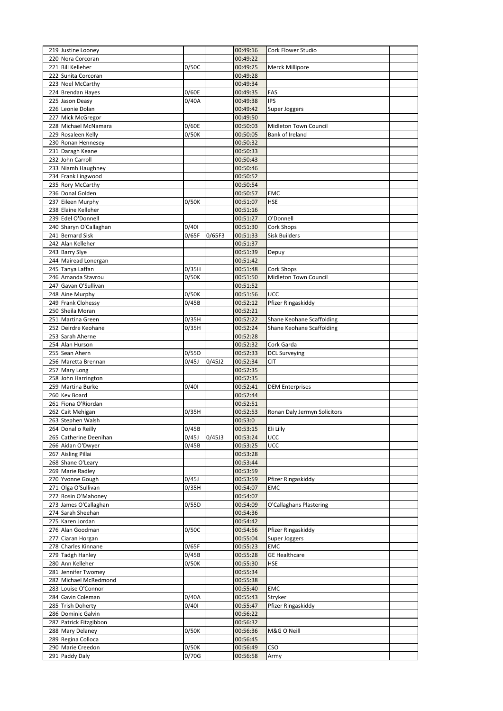| 219 Justine Looney                         |                |        | 00:49:16             | Cork Flower Studio                  |  |
|--------------------------------------------|----------------|--------|----------------------|-------------------------------------|--|
| 220 Nora Corcoran                          |                |        | 00:49:22             |                                     |  |
| 221 Bill Kelleher                          | 0/50C          |        | 00:49:25             | Merck Millipore                     |  |
| 222 Sunita Corcoran                        |                |        | 00:49:28<br>00:49:34 |                                     |  |
| 223 Noel McCarthy<br>224 Brendan Hayes     | 0/60E          |        | 00:49:35             | FAS                                 |  |
| 225 Jason Deasy                            | 0/40A          |        | 00:49:38             | <b>IPS</b>                          |  |
| 226 Leonie Dolan                           |                |        | 00:49:42             | Super Joggers                       |  |
| 227 Mick McGregor                          |                |        | 00:49:50             |                                     |  |
| 228 Michael McNamara                       | 0/60E          |        | 00:50:03             | Midleton Town Council               |  |
| 229 Rosaleen Kelly                         | 0/50K          |        | 00:50:05             | Bank of Ireland                     |  |
| 230 Ronan Hennesey                         |                |        | 00:50:32             |                                     |  |
| 231 Daragh Keane                           |                |        | 00:50:33             |                                     |  |
| 232 John Carroll                           |                |        | 00:50:43             |                                     |  |
| 233 Niamh Haughney                         |                |        | 00:50:46             |                                     |  |
| 234 Frank Lingwood                         |                |        | 00:50:52             |                                     |  |
| 235 Rory McCarthy<br>236 Donal Golden      |                |        | 00:50:54<br>00:50:57 | EMC                                 |  |
| 237 Eileen Murphy                          | 0/50K          |        | 00:51:07             | <b>HSE</b>                          |  |
| 238 Elaine Kelleher                        |                |        | 00:51:16             |                                     |  |
| 239 Edel O'Donnell                         |                |        | 00:51:27             | O'Donnell                           |  |
| 240 Sharyn O'Callaghan                     | 0/401          |        | 00:51:30             | Cork Shops                          |  |
| 241 Bernard Sisk                           | 0/65F          | 0/65F3 | 00:51:33             | <b>Sisk Builders</b>                |  |
| 242 Alan Kelleher                          |                |        | 00:51:37             |                                     |  |
| 243 Barry Slye                             |                |        | 00:51:39             | Depuy                               |  |
| 244 Mairead Lonergan                       |                |        | 00:51:42             |                                     |  |
| 245 Tanya Laffan                           | 0/35H          |        | 00:51:48             | Cork Shops                          |  |
| 246 Amanda Stavrou                         | 0/50K          |        | 00:51:50             | Midleton Town Council               |  |
| 247 Gavan O'Sullivan                       |                |        | 00:51:52             |                                     |  |
| 248 Aine Murphy<br>249 Frank Clohessy      | 0/50K<br>0/45B |        | 00:51:56             | UCC                                 |  |
| 250 Sheila Moran                           |                |        | 00:52:12<br>00:52:21 | Pfizer Ringaskiddy                  |  |
| 251 Martina Green                          | 0/35H          |        | 00:52:22             | Shane Keohane Scaffolding           |  |
| 252 Deirdre Keohane                        | 0/35H          |        | 00:52:24             | Shane Keohane Scaffolding           |  |
| 253 Sarah Aherne                           |                |        | 00:52:28             |                                     |  |
| 254 Alan Hurson                            |                |        | 00:52:32             | Cork Garda                          |  |
| 255 Sean Ahern                             | 0/55D          |        | 00:52:33             | <b>DCL Surveying</b>                |  |
| 256 Maretta Brennan                        | 0/45J          | 0/45J2 | 00:52:34             | CIT                                 |  |
| 257 Mary Long                              |                |        | 00:52:35             |                                     |  |
| 258 John Harrington                        |                |        | 00:52:35             |                                     |  |
| 259 Martina Burke                          | 0/401          |        | 00:52:41             | <b>DEM Enterprises</b>              |  |
| 260 Kev Board<br>261 Fiona O'Riordan       |                |        | 00:52:44<br>00:52:51 |                                     |  |
|                                            | 0/35H          |        | 00:52:53             | Ronan Daly Jermyn Solicitors        |  |
|                                            |                |        |                      |                                     |  |
| 262 Cait Mehigan                           |                |        |                      |                                     |  |
| 263 Stephen Walsh<br>264 Donal o Reilly    |                |        | 00:53:0              |                                     |  |
| 265 Catherine Deenihan                     | 0/45B<br>0/45J | 0/45J3 | 00:53:15<br>00:53:24 | Eli Lilly<br><b>UCC</b>             |  |
| 266 Aidan O'Dwyer                          | 0/45B          |        | 00:53:25             | UCC                                 |  |
| 267 Aisling Pillai                         |                |        | 00:53:28             |                                     |  |
| 268 Shane O'Leary                          |                |        | 00:53:44             |                                     |  |
| 269 Marie Radley                           |                |        | 00:53:59             |                                     |  |
| 270 Yvonne Gough                           | 0/45J          |        | 00:53:59             | Pfizer Ringaskiddy                  |  |
| 271 Olga O'Sullivan                        | 0/35H          |        | 00:54:07             | EMC                                 |  |
| 272 Rosin O'Mahoney                        |                |        | 00:54:07             |                                     |  |
| 273 James O'Callaghan                      | 0/55D          |        | 00:54:09             | O'Callaghans Plastering             |  |
| 274 Sarah Sheehan                          |                |        | 00:54:36             |                                     |  |
| 275 Karen Jordan<br>276 Alan Goodman       | 0/50C          |        | 00:54:42<br>00:54:56 |                                     |  |
| 277 Ciaran Horgan                          |                |        | 00:55:04             | Pfizer Ringaskiddy<br>Super Joggers |  |
| 278 Charles Kinnane                        | 0/65F          |        | 00:55:23             | EMC                                 |  |
| 279 Tadgh Hanley                           | 0/45B          |        | 00:55:28             | <b>GE Healthcare</b>                |  |
| 280 Ann Kelleher                           | 0/50K          |        | 00:55:30             | HSE                                 |  |
| 281 Jennifer Twomey                        |                |        | 00:55:34             |                                     |  |
| 282 Michael McRedmond                      |                |        | 00:55:38             |                                     |  |
| 283 Louise O'Connor                        |                |        | 00:55:40             | EMC                                 |  |
| 284 Gavin Coleman                          | 0/40A          |        | 00:55:43             | Stryker                             |  |
| 285 Trish Doherty                          | 0/401          |        | 00:55:47             | Pfizer Ringaskiddy                  |  |
| 286 Dominic Galvin                         |                |        | 00:56:22             |                                     |  |
| 287 Patrick Fitzgibbon<br>288 Mary Delaney | 0/50K          |        | 00:56:32<br>00:56:36 | M&G O'Neill                         |  |
| 289 Regina Colloca                         |                |        | 00:56:45             |                                     |  |
| 290 Marie Creedon                          | 0/50K          |        | 00:56:49             | CSO                                 |  |